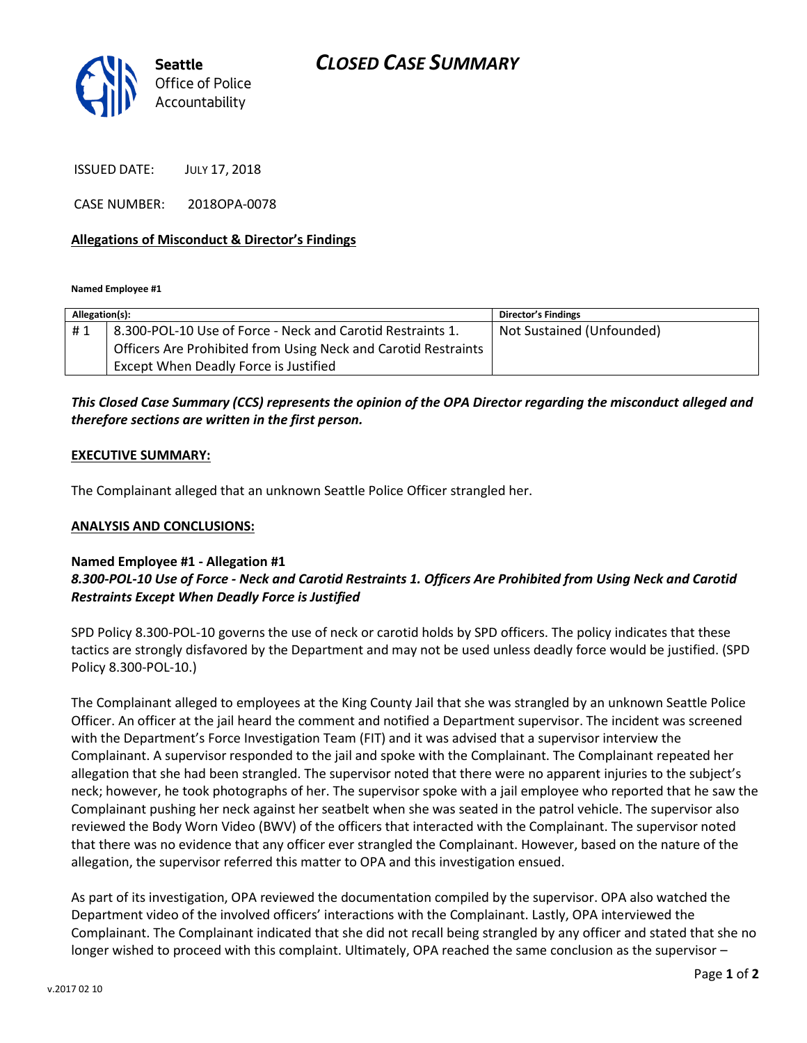

ISSUED DATE: JULY 17, 2018

CASE NUMBER: 2018OPA-0078

### **Allegations of Misconduct & Director's Findings**

**Named Employee #1**

| Allegation(s): |                                                                | Director's Findings       |
|----------------|----------------------------------------------------------------|---------------------------|
| #1             | 8.300-POL-10 Use of Force - Neck and Carotid Restraints 1.     | Not Sustained (Unfounded) |
|                | Officers Are Prohibited from Using Neck and Carotid Restraints |                           |
|                | Except When Deadly Force is Justified                          |                           |

# *This Closed Case Summary (CCS) represents the opinion of the OPA Director regarding the misconduct alleged and therefore sections are written in the first person.*

#### **EXECUTIVE SUMMARY:**

The Complainant alleged that an unknown Seattle Police Officer strangled her.

#### **ANALYSIS AND CONCLUSIONS:**

## **Named Employee #1 - Allegation #1**

## *8.300-POL-10 Use of Force - Neck and Carotid Restraints 1. Officers Are Prohibited from Using Neck and Carotid Restraints Except When Deadly Force is Justified*

SPD Policy 8.300-POL-10 governs the use of neck or carotid holds by SPD officers. The policy indicates that these tactics are strongly disfavored by the Department and may not be used unless deadly force would be justified. (SPD Policy 8.300-POL-10.)

The Complainant alleged to employees at the King County Jail that she was strangled by an unknown Seattle Police Officer. An officer at the jail heard the comment and notified a Department supervisor. The incident was screened with the Department's Force Investigation Team (FIT) and it was advised that a supervisor interview the Complainant. A supervisor responded to the jail and spoke with the Complainant. The Complainant repeated her allegation that she had been strangled. The supervisor noted that there were no apparent injuries to the subject's neck; however, he took photographs of her. The supervisor spoke with a jail employee who reported that he saw the Complainant pushing her neck against her seatbelt when she was seated in the patrol vehicle. The supervisor also reviewed the Body Worn Video (BWV) of the officers that interacted with the Complainant. The supervisor noted that there was no evidence that any officer ever strangled the Complainant. However, based on the nature of the allegation, the supervisor referred this matter to OPA and this investigation ensued.

As part of its investigation, OPA reviewed the documentation compiled by the supervisor. OPA also watched the Department video of the involved officers' interactions with the Complainant. Lastly, OPA interviewed the Complainant. The Complainant indicated that she did not recall being strangled by any officer and stated that she no longer wished to proceed with this complaint. Ultimately, OPA reached the same conclusion as the supervisor –